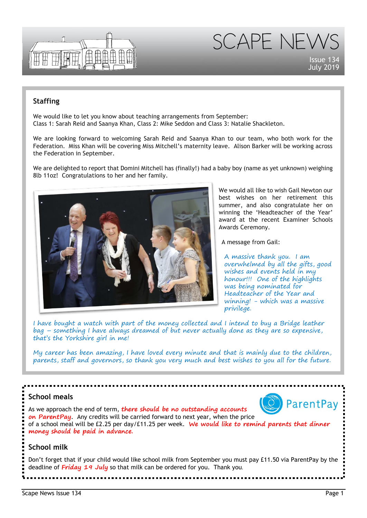

SCAPE NEW

Issue 134 July 2019

## **Staffing**

We would like to let you know about teaching arrangements from September: Class 1: Sarah Reid and Saanya Khan, Class 2: Mike Seddon and Class 3: Natalie Shackleton.

We are looking forward to welcoming Sarah Reid and Saanya Khan to our team, who both work for the Federation. Miss Khan will be covering Miss Mitchell's maternity leave. Alison Barker will be working across the Federation in September.

We are delighted to report that Domini Mitchell has (finally!) had a baby boy (name as yet unknown) weighing 8lb 11oz! Congratulations to her and her family.



We would all like to wish Gail Newton our best wishes on her retirement this summer, and also congratulate her on winning the 'Headteacher of the Year' award at the recent Examiner Schools Awards Ceremony.

A message from Gail:

A massive thank you. I am overwhelmed by all the gifts, good wishes and events held in my honour!!! One of the highlights was being nominated for Headteacher of the Year and winning! - which was a massive privilege.

I have bought a watch with part of the money collected and I intend to buy a Bridge leather bag – something I have always dreamed of but never actually done as they are so expensive, that's the Yorkshire girl in me!

My career has been amazing, I have loved every minute and that is mainly due to the children, parents, staff and governors, so thank you very much and best wishes to you all for the future.

## **School meals**



As we approach the end of term, **there should be no outstanding accounts on ParentPay**. Any credits will be carried forward to next year, when the price of a school meal will be £2.25 per day/£11.25 per week. **We would like to remind parents that dinner money should be paid in advance.**

## **School milk**

Don't forget that if your child would like school milk from September you must pay £11.50 via ParentPay by the deadline of **Friday 19 July** so that milk can be ordered for you. Thank you.